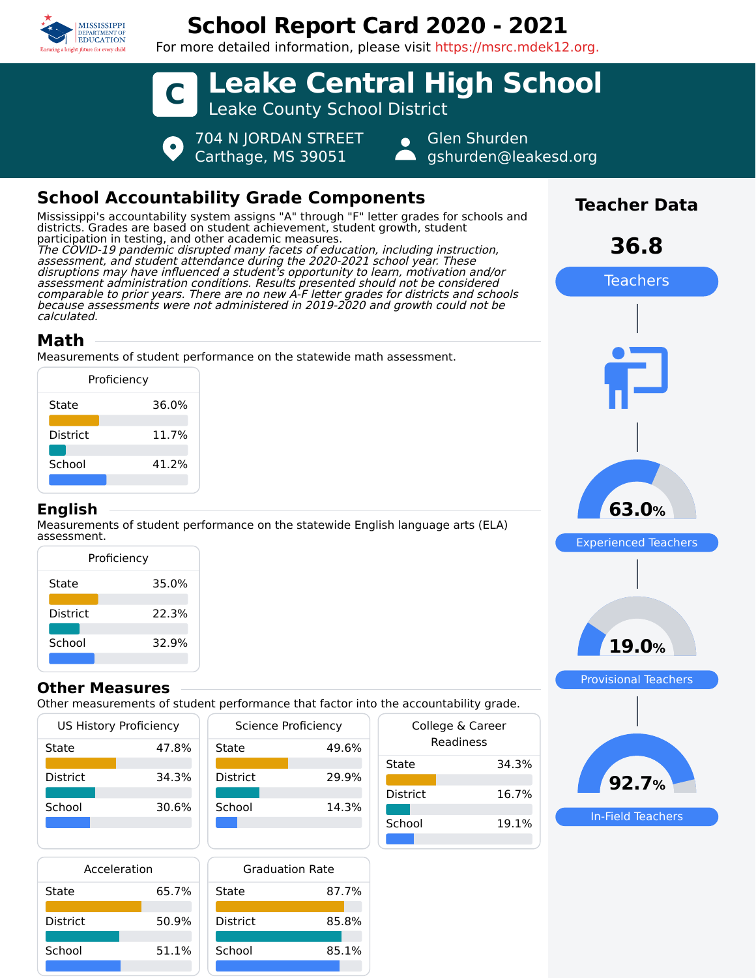

# **School Report Card 2020 - 2021**

For more detailed information, please visit https://msrc.mdek12.org.



## **School Accountability Grade Components**

Mississippi's accountability system assigns "A" through "F" letter grades for schools and districts. Grades are based on student achievement, student growth, student participation in testing, and other academic measures. The COVID-19 pandemic disrupted many facets of education, including instruction, assessment, and student attendance during the 2020-2021 school year. These disruptions may have influenced a student's opportunity to learn, motivation and/or assessment administration conditions. Results presented should not be considered comparable to prior years. There are no new A-F letter grades for districts and schools because assessments were not administered in 2019-2020 and growth could not be calculated.

### **Math**

Measurements of student performance on the statewide math assessment.

| Proficiency     |       |  |
|-----------------|-------|--|
| State           | 36.0% |  |
| <b>District</b> | 11.7% |  |
| School          | 41.2% |  |
|                 |       |  |

#### **English**

Measurements of student performance on the statewide English language arts (ELA) assessment.

| Proficiency     |       |  |  |
|-----------------|-------|--|--|
| State           | 35.0% |  |  |
| <b>District</b> | 22.3% |  |  |
| School          | 32.9% |  |  |

#### **Other Measures**

Other measurements of student performance that factor into the accountability grade.

| US History Proficiency |       |  |
|------------------------|-------|--|
| State                  | 47.8% |  |
| District               | 34.3% |  |
|                        |       |  |
| School                 | 30.6% |  |
|                        |       |  |
|                        |       |  |

| <b>Science Proficiency</b> |       |
|----------------------------|-------|
| State                      | 49.6% |
| <b>District</b>            | 29.9% |
| School                     | 14.3% |
|                            |       |

| Acceleration    |       |     |
|-----------------|-------|-----|
| State           | 65.7% | Sta |
| <b>District</b> | 50.9% | i٢  |
| School          | 51.1% |     |

| Graduation Rate |       |  |
|-----------------|-------|--|
| State           | 87.7% |  |
| <b>District</b> | 85.8% |  |
| School          | 85.1% |  |

| the accountability grade.     |       |  |  |
|-------------------------------|-------|--|--|
| College & Career<br>Readiness |       |  |  |
| State                         | 34.3% |  |  |
| District                      | 16.7% |  |  |
| School                        | 19.1% |  |  |
|                               |       |  |  |



Experienced Teachers

**63.0%**

**Teacher Data**

**36.8**

Teachers